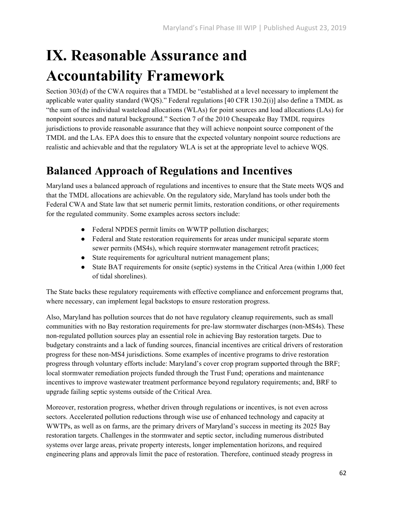# **IX. Reasonable Assurance and Accountability Framework**

Section 303(d) of the CWA requires that a TMDL be "established at a level necessary to implement the applicable water quality standard (WQS)." Federal regulations [40 CFR 130.2(i)] also define a TMDL as "the sum of the individual wasteload allocations (WLAs) for point sources and load allocations (LAs) for nonpoint sources and natural background." Section 7 of the 2010 Chesapeake Bay TMDL requires jurisdictions to provide reasonable assurance that they will achieve nonpoint source component of the TMDL and the LAs. EPA does this to ensure that the expected voluntary nonpoint source reductions are realistic and achievable and that the regulatory WLA is set at the appropriate level to achieve WQS.

# **Balanced Approach of Regulations and Incentives**

Maryland uses a balanced approach of regulations and incentives to ensure that the State meets WQS and that the TMDL allocations are achievable. On the regulatory side, Maryland has tools under both the Federal CWA and State law that set numeric permit limits, restoration conditions, or other requirements for the regulated community. Some examples across sectors include:

- Federal NPDES permit limits on WWTP pollution discharges;
- Federal and State restoration requirements for areas under municipal separate storm sewer permits (MS4s), which require stormwater management retrofit practices;
- State requirements for agricultural nutrient management plans;
- State BAT requirements for onsite (septic) systems in the Critical Area (within 1,000 feet of tidal shorelines).

The State backs these regulatory requirements with effective compliance and enforcement programs that, where necessary, can implement legal backstops to ensure restoration progress.

Also, Maryland has pollution sources that do not have regulatory cleanup requirements, such as small communities with no Bay restoration requirements for pre-law stormwater discharges (non-MS4s). These non-regulated pollution sources play an essential role in achieving Bay restoration targets. Due to budgetary constraints and a lack of funding sources, financial incentives are critical drivers of restoration progress for these non-MS4 jurisdictions. Some examples of incentive programs to drive restoration progress through voluntary efforts include: Maryland's cover crop program supported through the BRF; local stormwater remediation projects funded through the Trust Fund; operations and maintenance incentives to improve wastewater treatment performance beyond regulatory requirements; and, BRF to upgrade failing septic systems outside of the Critical Area.

Moreover, restoration progress, whether driven through regulations or incentives, is not even across sectors. Accelerated pollution reductions through wise use of enhanced technology and capacity at WWTPs, as well as on farms, are the primary drivers of Maryland's success in meeting its 2025 Bay restoration targets. Challenges in the stormwater and septic sector, including numerous distributed systems over large areas, private property interests, longer implementation horizons, and required engineering plans and approvals limit the pace of restoration. Therefore, continued steady progress in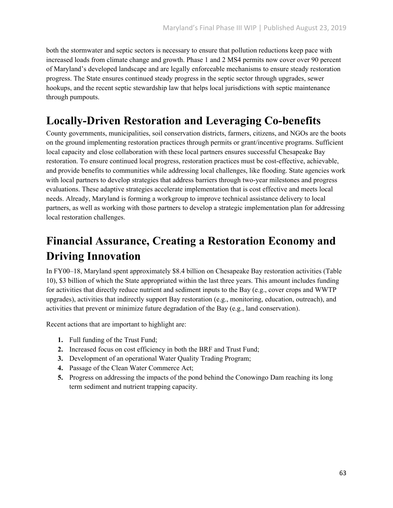both the stormwater and septic sectors is necessary to ensure that pollution reductions keep pace with increased loads from climate change and growth. Phase 1 and 2 MS4 permits now cover over 90 percent of Maryland's developed landscape and are legally enforceable mechanisms to ensure steady restoration progress. The State ensures continued steady progress in the septic sector through upgrades, sewer hookups, and the recent septic stewardship law that helps local jurisdictions with septic maintenance through pumpouts.

## **Locally-Driven Restoration and Leveraging Co-benefits**

County governments, municipalities, soil conservation districts, farmers, citizens, and NGOs are the boots on the ground implementing restoration practices through permits or grant/incentive programs. Sufficient local capacity and close collaboration with these local partners ensures successful Chesapeake Bay restoration. To ensure continued local progress, restoration practices must be cost-effective, achievable, and provide benefits to communities while addressing local challenges, like flooding. State agencies work with local partners to develop strategies that address barriers through two-year milestones and progress evaluations. These adaptive strategies accelerate implementation that is cost effective and meets local needs. Already, Maryland is forming a workgroup to improve technical assistance delivery to local partners, as well as working with those partners to develop a strategic implementation plan for addressing local restoration challenges.

# **Financial Assurance, Creating a Restoration Economy and Driving Innovation**

In FY00–18, Maryland spent approximately \$8.4 billion on Chesapeake Bay restoration activities (Table 10), \$3 billion of which the State appropriated within the last three years. This amount includes funding for activities that directly reduce nutrient and sediment inputs to the Bay (e.g., cover crops and WWTP upgrades), activities that indirectly support Bay restoration (e.g., monitoring, education, outreach), and activities that prevent or minimize future degradation of the Bay (e.g., land conservation).

Recent actions that are important to highlight are:

- **1.** Full funding of the Trust Fund;
- **2.** Increased focus on cost efficiency in both the BRF and Trust Fund;
- **3.** Development of an operational Water Quality Trading Program;
- **4.** Passage of the Clean Water Commerce Act;
- **5.** Progress on addressing the impacts of the pond behind the Conowingo Dam reaching its long term sediment and nutrient trapping capacity.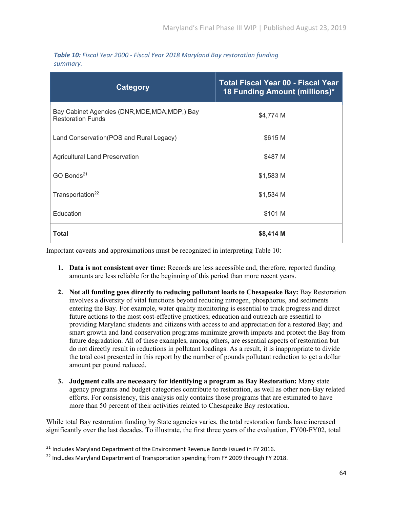| Table 10: Fiscal Year 2000 - Fiscal Year 2018 Maryland Bay restoration funding |  |  |  |
|--------------------------------------------------------------------------------|--|--|--|
| summary.                                                                       |  |  |  |

| Category                                                                   | <b>Total Fiscal Year 00 - Fiscal Year</b><br>18 Funding Amount (millions)* |  |
|----------------------------------------------------------------------------|----------------------------------------------------------------------------|--|
| Bay Cabinet Agencies (DNR, MDE, MDA, MDP,) Bay<br><b>Restoration Funds</b> | \$4,774 M                                                                  |  |
| Land Conservation (POS and Rural Legacy)                                   | \$615 M                                                                    |  |
| Agricultural Land Preservation                                             | \$487 M                                                                    |  |
| GO Bonds <sup>21</sup>                                                     | \$1,583 M                                                                  |  |
| Transportation <sup>22</sup>                                               | $$1,534$ M                                                                 |  |
| Education                                                                  | \$101 M                                                                    |  |
| <b>Total</b>                                                               | \$8,414 M                                                                  |  |

Important caveats and approximations must be recognized in interpreting Table 10:

- **1. Data is not consistent over time:** Records are less accessible and, therefore, reported funding amounts are less reliable for the beginning of this period than more recent years.
- **2. Not all funding goes directly to reducing pollutant loads to Chesapeake Bay:** Bay Restoration involves a diversity of vital functions beyond reducing nitrogen, phosphorus, and sediments entering the Bay. For example, water quality monitoring is essential to track progress and direct future actions to the most cost-effective practices; education and outreach are essential to providing Maryland students and citizens with access to and appreciation for a restored Bay; and smart growth and land conservation programs minimize growth impacts and protect the Bay from future degradation. All of these examples, among others, are essential aspects of restoration but do not directly result in reductions in pollutant loadings. As a result, it is inappropriate to divide the total cost presented in this report by the number of pounds pollutant reduction to get a dollar amount per pound reduced.
- **3. Judgment calls are necessary for identifying a program as Bay Restoration:** Many state agency programs and budget categories contribute to restoration, as well as other non-Bay related efforts. For consistency, this analysis only contains those programs that are estimated to have more than 50 percent of their activities related to Chesapeake Bay restoration.

While total Bay restoration funding by State agencies varies, the total restoration funds have increased significantly over the last decades. To illustrate, the first three years of the evaluation, FY00-FY02, total

<sup>&</sup>lt;sup>21</sup> Includes Maryland Department of the Environment Revenue Bonds issued in FY 2016.

<sup>&</sup>lt;sup>22</sup> Includes Maryland Department of Transportation spending from FY 2009 through FY 2018.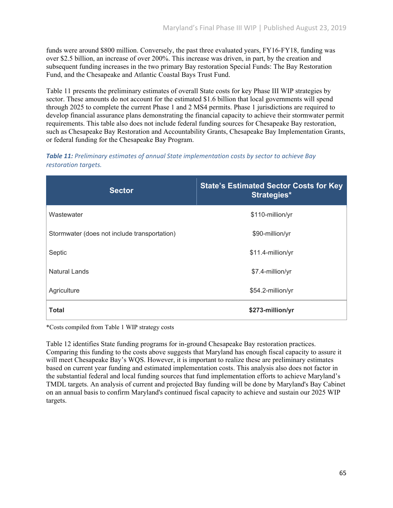funds were around \$800 million. Conversely, the past three evaluated years, FY16-FY18, funding was over \$2.5 billion, an increase of over 200%. This increase was driven, in part, by the creation and subsequent funding increases in the two primary Bay restoration Special Funds: The Bay Restoration Fund, and the Chesapeake and Atlantic Coastal Bays Trust Fund.

Table 11 presents the preliminary estimates of overall State costs for key Phase III WIP strategies by sector. These amounts do not account for the estimated \$1.6 billion that local governments will spend through 2025 to complete the current Phase 1 and 2 MS4 permits. Phase 1 jurisdictions are required to develop financial assurance plans demonstrating the financial capacity to achieve their stormwater permit requirements. This table also does not include federal funding sources for Chesapeake Bay restoration, such as Chesapeake Bay Restoration and Accountability Grants, Chesapeake Bay Implementation Grants, or federal funding for the Chesapeake Bay Program.

#### *Table 11: Preliminary estimates of annual State implementation costs by sector to achieve Bay restoration targets.*

| <b>Sector</b>                                | <b>State's Estimated Sector Costs for Key</b><br><b>Strategies*</b> |
|----------------------------------------------|---------------------------------------------------------------------|
| Wastewater                                   | \$110-million/yr                                                    |
| Stormwater (does not include transportation) | \$90-million/yr                                                     |
| Septic                                       | \$11.4-million/yr                                                   |
| Natural Lands                                | \$7.4-million/yr                                                    |
| Agriculture                                  | \$54.2-million/yr                                                   |
| <b>Total</b>                                 | \$273-million/yr                                                    |

\*Costs compiled from Table 1 WIP strategy costs

Table 12 identifies State funding programs for in-ground Chesapeake Bay restoration practices. Comparing this funding to the costs above suggests that Maryland has enough fiscal capacity to assure it will meet Chesapeake Bay's WQS. However, it is important to realize these are preliminary estimates based on current year funding and estimated implementation costs. This analysis also does not factor in the substantial federal and local funding sources that fund implementation efforts to achieve Maryland's TMDL targets. An analysis of current and projected Bay funding will be done by Maryland's Bay Cabinet on an annual basis to confirm Maryland's continued fiscal capacity to achieve and sustain our 2025 WIP targets.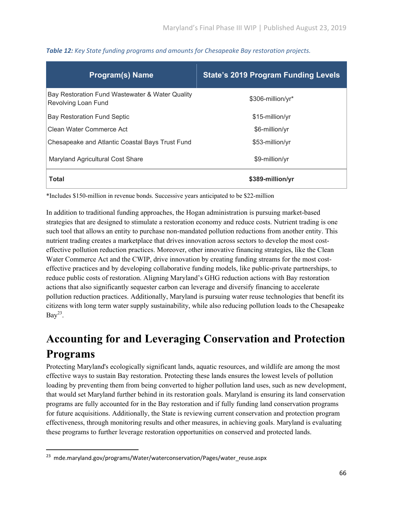| <b>Program(s) Name</b>                                                 | <b>State's 2019 Program Funding Levels</b> |
|------------------------------------------------------------------------|--------------------------------------------|
| Bay Restoration Fund Wastewater & Water Quality<br>Revolving Loan Fund | \$306-million/yr*                          |
| <b>Bay Restoration Fund Septic</b>                                     | \$15-million/yr                            |
| Clean Water Commerce Act                                               | \$6-million/yr                             |
| Chesapeake and Atlantic Coastal Bays Trust Fund                        | \$53-million/yr                            |
| Maryland Agricultural Cost Share                                       | \$9-million/yr                             |
| Total                                                                  | \$389-million/yr                           |

*Table 12: Key State funding programs and amounts for Chesapeake Bay restoration projects.*

\*Includes \$150-million in revenue bonds. Successive years anticipated to be \$22-million

In addition to traditional funding approaches, the Hogan administration is pursuing market-based strategies that are designed to stimulate a restoration economy and reduce costs. Nutrient trading is one such tool that allows an entity to purchase non-mandated pollution reductions from another entity. This nutrient trading creates a marketplace that drives innovation across sectors to develop the most costeffective pollution reduction practices. Moreover, other innovative financing strategies, like the Clean Water Commerce Act and the CWIP, drive innovation by creating funding streams for the most costeffective practices and by developing collaborative funding models, like public-private partnerships, to reduce public costs of restoration. Aligning Maryland's GHG reduction actions with Bay restoration actions that also significantly sequester carbon can leverage and diversify financing to accelerate pollution reduction practices. Additionally, Maryland is pursuing water reuse technologies that benefit its citizens with long term water supply sustainability, while also reducing pollution loads to the Chesapeake  $Bay^{23}$ .

# **Accounting for and Leveraging Conservation and Protection Programs**

Protecting Maryland's ecologically significant lands, aquatic resources, and wildlife are among the most effective ways to sustain Bay restoration. Protecting these lands ensures the lowest levels of pollution loading by preventing them from being converted to higher pollution land uses, such as new development, that would set Maryland further behind in its restoration goals. Maryland is ensuring its land conservation programs are fully accounted for in the Bay restoration and if fully funding land conservation programs for future acquisitions. Additionally, the State is reviewing current conservation and protection program effectiveness, through monitoring results and other measures, in achieving goals. Maryland is evaluating these programs to further leverage restoration opportunities on conserved and protected lands.

<sup>&</sup>lt;sup>23</sup> mde.maryland.gov/programs/Water/waterconservation/Pages/water\_reuse.aspx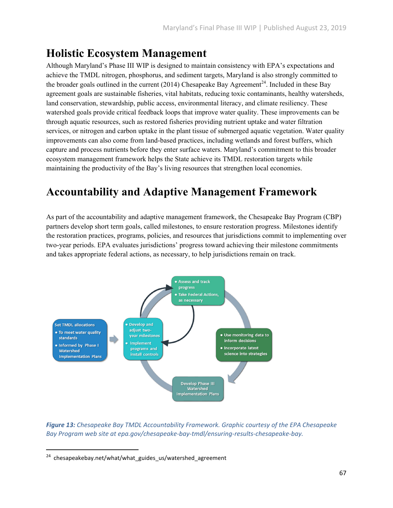## **Holistic Ecosystem Management**

Although Maryland's Phase III WIP is designed to maintain consistency with EPA's expectations and achieve the TMDL nitrogen, phosphorus, and sediment targets, Maryland is also strongly committed to the broader goals outlined in the current (2014) Chesapeake Bay Agreement<sup>24</sup>. Included in these Bay agreement goals are sustainable fisheries, vital habitats, reducing toxic contaminants, healthy watersheds, land conservation, stewardship, public access, environmental literacy, and climate resiliency. These watershed goals provide critical feedback loops that improve water quality. These improvements can be through aquatic resources, such as restored fisheries providing nutrient uptake and water filtration services, or nitrogen and carbon uptake in the plant tissue of submerged aquatic vegetation. Water quality improvements can also come from land-based practices, including wetlands and forest buffers, which capture and process nutrients before they enter surface waters. Maryland's commitment to this broader ecosystem management framework helps the State achieve its TMDL restoration targets while maintaining the productivity of the Bay's living resources that strengthen local economies.

### **Accountability and Adaptive Management Framework**

As part of the accountability and adaptive management framework, the Chesapeake Bay Program (CBP) partners develop short term goals, called milestones, to ensure restoration progress. Milestones identify the restoration practices, programs, policies, and resources that jurisdictions commit to implementing over two-year periods. EPA evaluates jurisdictions' progress toward achieving their milestone commitments and takes appropriate federal actions, as necessary, to help jurisdictions remain on track.



*Figure 13: Chesapeake Bay TMDL Accountability Framework. Graphic courtesy of the EPA Chesapeake Bay Program web site at epa.gov/chesapeake‐bay‐tmdl/ensuring‐results‐chesapeake‐bay.*

 $24$  chesapeakebay.net/what/what guides us/watershed agreement